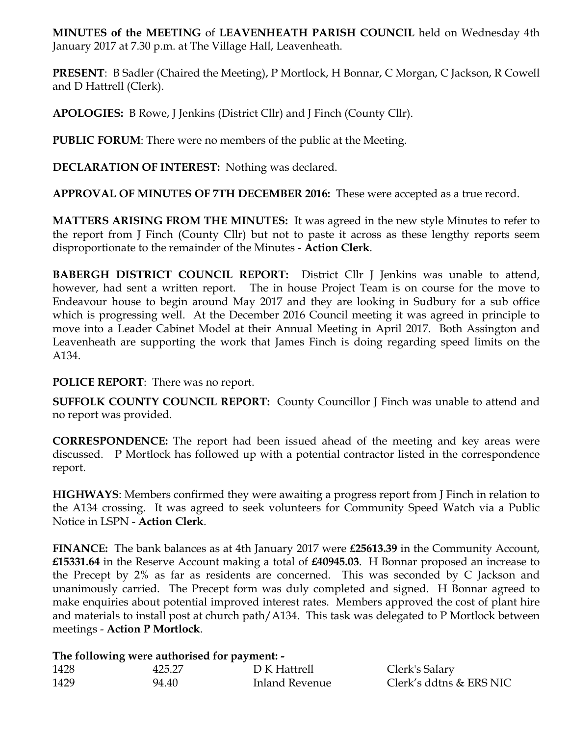**MINUTES of the MEETING** of **LEAVENHEATH PARISH COUNCIL** held on Wednesday 4th January 2017 at 7.30 p.m. at The Village Hall, Leavenheath.

**PRESENT**: B Sadler (Chaired the Meeting), P Mortlock, H Bonnar, C Morgan, C Jackson, R Cowell and D Hattrell (Clerk).

**APOLOGIES:** B Rowe, J Jenkins (District Cllr) and J Finch (County Cllr).

**PUBLIC FORUM**: There were no members of the public at the Meeting.

**DECLARATION OF INTEREST:** Nothing was declared.

**APPROVAL OF MINUTES OF 7TH DECEMBER 2016:** These were accepted as a true record.

**MATTERS ARISING FROM THE MINUTES:** It was agreed in the new style Minutes to refer to the report from J Finch (County Cllr) but not to paste it across as these lengthy reports seem disproportionate to the remainder of the Minutes - **Action Clerk**.

**BABERGH DISTRICT COUNCIL REPORT:** District Cllr J Jenkins was unable to attend, however, had sent a written report. The in house Project Team is on course for the move to Endeavour house to begin around May 2017 and they are looking in Sudbury for a sub office which is progressing well. At the December 2016 Council meeting it was agreed in principle to move into a Leader Cabinet Model at their Annual Meeting in April 2017. Both Assington and Leavenheath are supporting the work that James Finch is doing regarding speed limits on the A134.

## **POLICE REPORT**: There was no report.

**SUFFOLK COUNTY COUNCIL REPORT:** County Councillor J Finch was unable to attend and no report was provided.

**CORRESPONDENCE:** The report had been issued ahead of the meeting and key areas were discussed. P Mortlock has followed up with a potential contractor listed in the correspondence report.

**HIGHWAYS**: Members confirmed they were awaiting a progress report from J Finch in relation to the A134 crossing. It was agreed to seek volunteers for Community Speed Watch via a Public Notice in LSPN - **Action Clerk**.

**FINANCE:** The bank balances as at 4th January 2017 were **£25613.39** in the Community Account, **£15331.64** in the Reserve Account making a total of **£40945.03**. H Bonnar proposed an increase to the Precept by 2% as far as residents are concerned. This was seconded by C Jackson and unanimously carried. The Precept form was duly completed and signed. H Bonnar agreed to make enquiries about potential improved interest rates. Members approved the cost of plant hire and materials to install post at church path/A134. This task was delegated to P Mortlock between meetings - **Action P Mortlock**.

## **The following were authorised for payment: -**

| 1428 | 425.27 | D K Hattrell   | Clerk's Salary          |
|------|--------|----------------|-------------------------|
| 1429 | 94.40  | Inland Revenue | Clerk's ddtns & ERS NIC |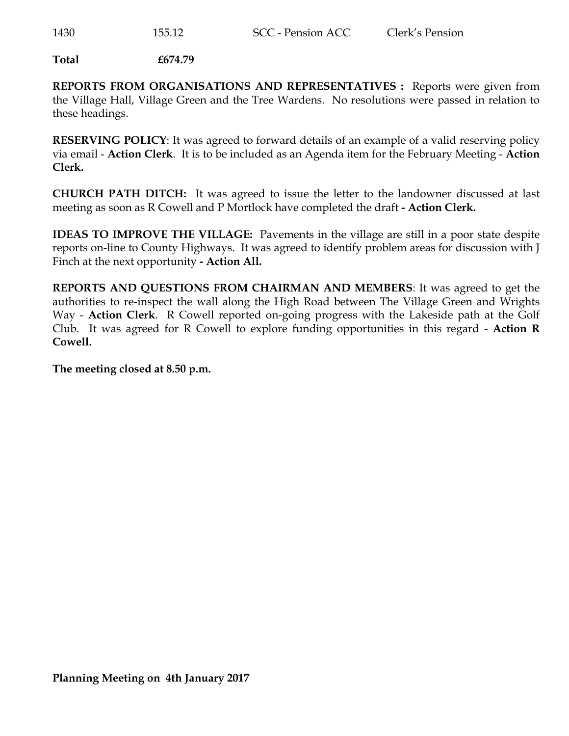**Total £674.79**

**REPORTS FROM ORGANISATIONS AND REPRESENTATIVES :** Reports were given from the Village Hall, Village Green and the Tree Wardens. No resolutions were passed in relation to these headings.

**RESERVING POLICY**: It was agreed to forward details of an example of a valid reserving policy via email - **Action Clerk**. It is to be included as an Agenda item for the February Meeting - **Action Clerk.** 

**CHURCH PATH DITCH:** It was agreed to issue the letter to the landowner discussed at last meeting as soon as R Cowell and P Mortlock have completed the draft **- Action Clerk.** 

**IDEAS TO IMPROVE THE VILLAGE:** Pavements in the village are still in a poor state despite reports on-line to County Highways. It was agreed to identify problem areas for discussion with J Finch at the next opportunity **- Action All.** 

**REPORTS AND QUESTIONS FROM CHAIRMAN AND MEMBERS**: It was agreed to get the authorities to re-inspect the wall along the High Road between The Village Green and Wrights Way - **Action Clerk**. R Cowell reported on-going progress with the Lakeside path at the Golf Club. It was agreed for R Cowell to explore funding opportunities in this regard - **Action R Cowell.** 

**The meeting closed at 8.50 p.m.**